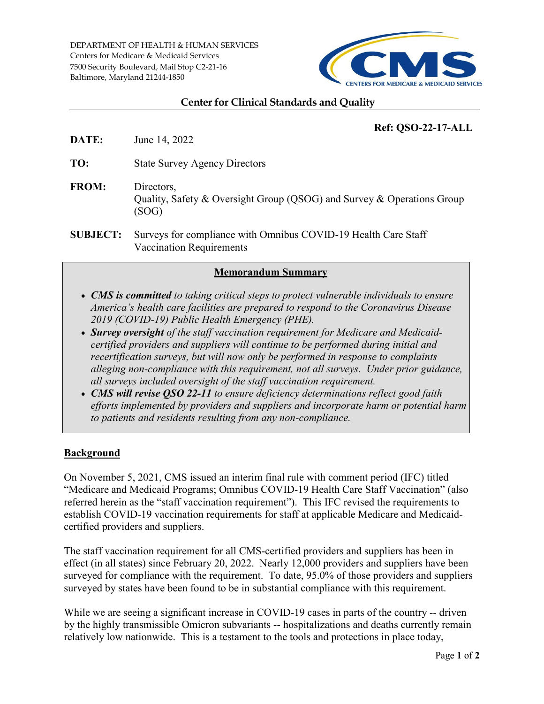DEPARTMENT OF HEALTH & HUMAN SERVICES Centers for Medicare & Medicaid Services 7500 Security Boulevard, Mail Stop C2-21-16 Baltimore, Maryland 21244-1850



### **Center for Clinical Standards and Quality**

# **Ref: QSO-22-17-ALL**

**DATE:** June 14, 2022

**TO:** State Survey Agency Directors

- **FROM:** Directors, Quality, Safety & Oversight Group (QSOG) and Survey & Operations Group (SOG)
- **SUBJECT:** Surveys for compliance with Omnibus COVID-19 Health Care Staff Vaccination Requirements

## **Memorandum Summary**

- *CMS is committed to taking critical steps to protect vulnerable individuals to ensure America's health care facilities are prepared to respond to the Coronavirus Disease 2019 (COVID-19) Public Health Emergency (PHE).*
- *Survey oversight of the staff vaccination requirement for Medicare and Medicaidcertified providers and suppliers will continue to be performed during initial and recertification surveys, but will now only be performed in response to complaints alleging non-compliance with this requirement, not all surveys. Under prior guidance, all surveys included oversight of the staff vaccination requirement.*
- *CMS will revise QSO 22-11 to ensure deficiency determinations reflect good faith efforts implemented by providers and suppliers and incorporate harm or potential harm to patients and residents resulting from any non-compliance.*

## **Background**

On November 5, 2021, CMS issued an interim final rule with comment period (IFC) titled "Medicare and Medicaid Programs; Omnibus COVID-19 Health Care Staff Vaccination" (also referred herein as the "staff vaccination requirement"). This IFC revised the requirements to establish COVID-19 vaccination requirements for staff at applicable Medicare and Medicaidcertified providers and suppliers.

The staff vaccination requirement for all CMS-certified providers and suppliers has been in effect (in all states) since February 20, 2022. Nearly 12,000 providers and suppliers have been surveyed for compliance with the requirement. To date, 95.0% of those providers and suppliers surveyed by states have been found to be in substantial compliance with this requirement.

While we are seeing a significant increase in COVID-19 cases in parts of the country -- driven by the highly transmissible Omicron subvariants -- hospitalizations and deaths currently remain relatively low nationwide. This is a testament to the tools and protections in place today,